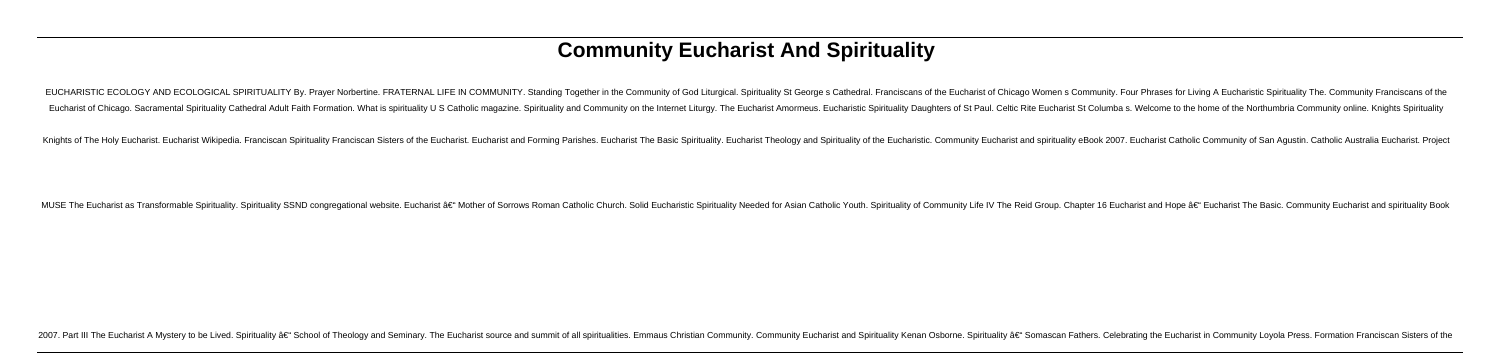# **Community Eucharist And Spirituality**

EUCHARISTIC ECOLOGY AND ECOLOGICAL SPIRITUALITY By. Prayer Norbertine, FRATERNAL LIFE IN COMMUNITY, Standing Together in the Community of God Liturgical, Spirituality St George s Cathedral, Franciscans of the Eucharist of Eucharist of Chicago. Sacramental Spirituality Cathedral Adult Faith Formation. What is spirituality U S Catholic magazine. Spirituality and Community on the Internet Liturgy. The Eucharist Amormeus. Eucharistic Spirituali

Knights of The Holy Eucharist, Eucharist Wikipedia, Franciscan Spirituality Franciscan Spirituality Franciscan Sisters of the Eucharist. Eucharist and Forming Parishes, Eucharist The Basic Spirituality, Eucharist Theology

MUSE The Eucharist as Transformable Spirituality. Spirituality. Spirituality SSND congrequational website. Eucharist – Mother of Sorrows Roman Catholic Church. Solid Eucharistic Spirituality Needed for Asian Catholic Yo

2007. Part III The Eucharist A Mystery to be Lived. Spirituality â€" School of Theology and Seminary. The Eucharist source and summit of all spiritualities. Emmaus Christian Community Eucharist and Spirituality Kenan Osbo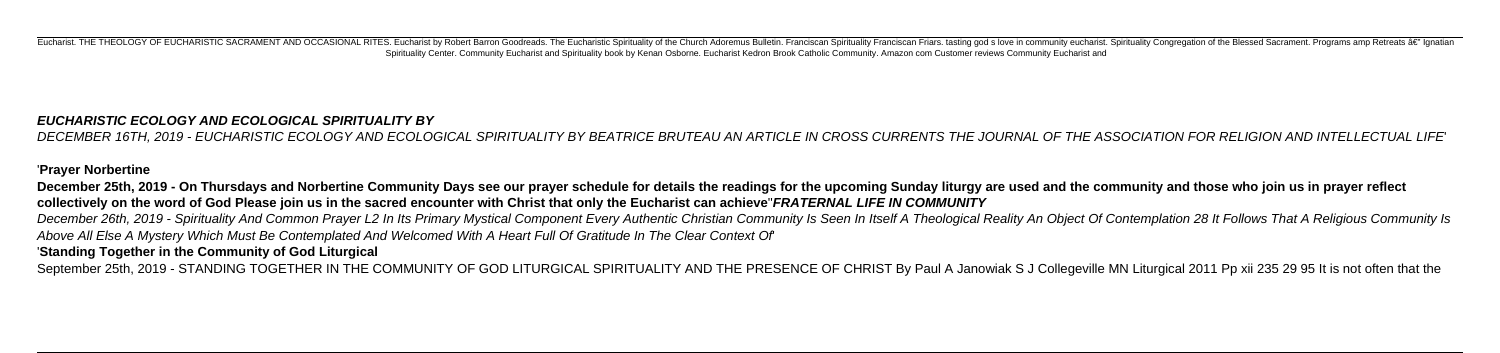Eucharist. THE THEOLOGY OF EUCHARISTIC SACRAMENT AND OCCASIONAL RITES. Eucharist by Robert Barron Goodreads. The Eucharistic Spirituality of the Church Adoremus Bulletin. Franciscan Spirituality Franciscan Spirituality Fra Spirituality Center. Community Eucharist and Spirituality book by Kenan Osborne. Eucharist Kedron Brook Catholic Community. Amazon com Customer reviews Community Eucharist and

# **EUCHARISTIC ECOLOGY AND ECOLOGICAL SPIRITUALITY BY**

DECEMBER 16TH, 2019 - EUCHARISTIC ECOLOGY AND ECOLOGICAL SPIRITUALITY BY BEATRICE BRUTEAU AN ARTICLE IN CROSS CURRENTS THE JOURNAL OF THE ASSOCIATION FOR RELIGION AND INTELLECTUAL LIFE'

# '**Prayer Norbertine**

**December 25th, 2019 - On Thursdays and Norbertine Community Days see our prayer schedule for details the readings for the upcoming Sunday liturgy are used and the community and those who join us in prayer reflect collectively on the word of God Please join us in the sacred encounter with Christ that only the Eucharist can achieve**''**FRATERNAL LIFE IN COMMUNITY** December 26th, 2019 - Spirituality And Common Prayer L2 In Its Primary Mystical Component Every Authentic Christian Community Is Seen In Itself A Theological Reality An Object Of Contemplation 28 It Follows That A Religiou Above All Else A Mystery Which Must Be Contemplated And Welcomed With A Heart Full Of Gratitude In The Clear Context Of' '**Standing Together in the Community of God Liturgical**

September 25th, 2019 - STANDING TOGETHER IN THE COMMUNITY OF GOD LITURGICAL SPIRITUALITY AND THE PRESENCE OF CHRIST By Paul A Janowiak S J Collegeville MN Liturgical 2011 Pp xii 235 29 95 It is not often that the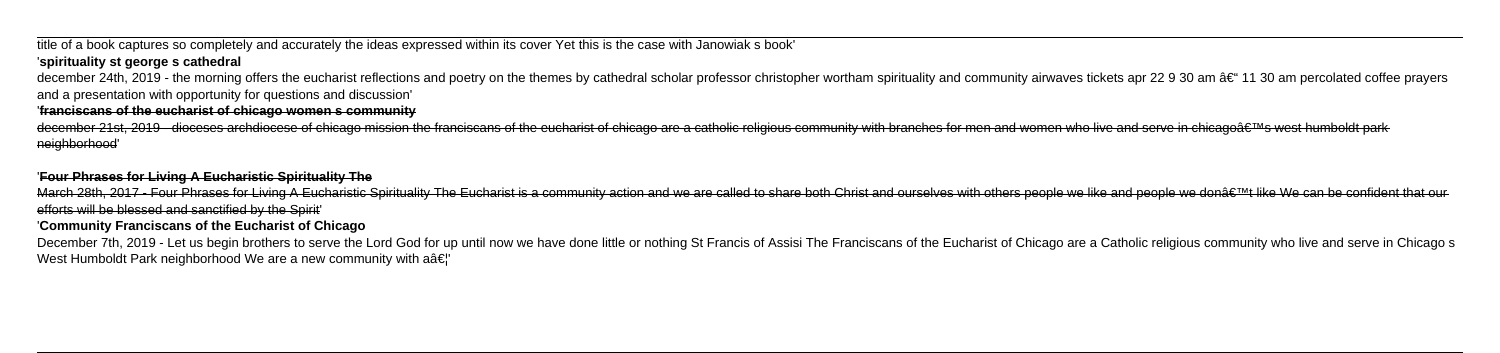# title of a book captures so completely and accurately the ideas expressed within its cover Yet this is the case with Janowiak s book'

# '**spirituality st george s cathedral**

december 24th, 2019 - the morning offers the eucharist reflections and poetry on the themes by cathedral scholar professor christopher wortham spirituality and community airwaves tickets apr 22 9 30 am †11 30 am percola and a presentation with opportunity for questions and discussion'

december 21st, 2019 - dioceses archdiocese of chicago mission the franciscans of the eucharist of chicago are a catholic religious community with branches for men and women who live and serve in chicago's west humboldt neighborhood'

### '**franciscans of the eucharist of chicago women s community**

March 28th, 2017 - Four Phrases for Living A Eucharistic Spirituality The Eucharist is a community action and we are called to share both Christ and ourselves with others people we like and people we don't like We can b efforts will be blessed and sanctified by the Spirit'

### '**Four Phrases for Living A Eucharistic Spirituality The**

### '**Community Franciscans of the Eucharist of Chicago**

December 7th, 2019 - Let us begin brothers to serve the Lord God for up until now we have done little or nothing St Francis of Assisi The Franciscans of the Eucharist of Chicago are a Catholic religious community who live West Humboldt Park neighborhood We are a new community with  $a\hat{a}\epsilon$ "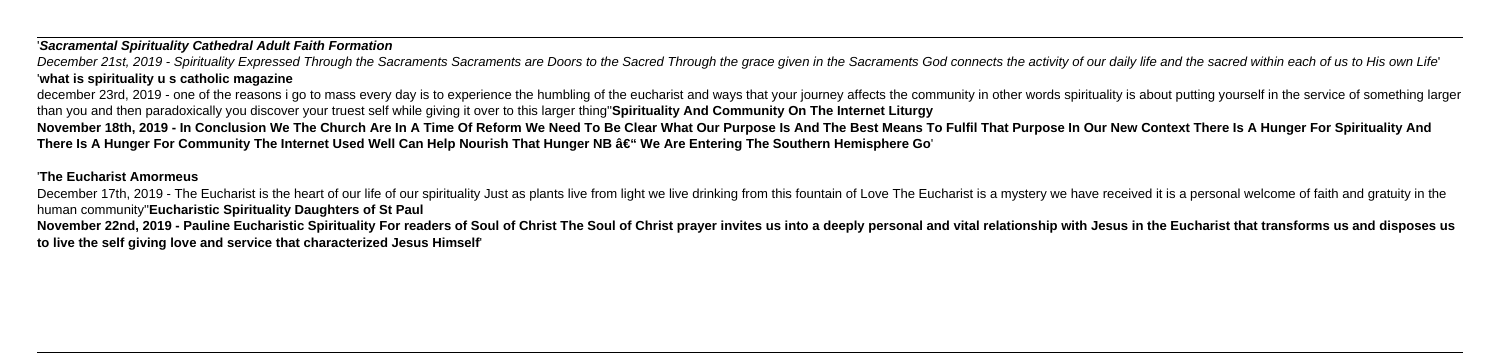### '**Sacramental Spirituality Cathedral Adult Faith Formation**

December 21st, 2019 - Spirituality Expressed Through the Sacraments Sacraments are Doors to the Sacred Through the grace given in the Sacraments God connects the activity of our daily life and the sacred within each of us '**what is spirituality u s catholic magazine**

december 23rd. 2019 - one of the reasons i go to mass every day is to experience the humbling of the eucharist and ways that your journey affects the community in other words spirituality is about putting yourself in the s than you and then paradoxically you discover your truest self while giving it over to this larger thing''**Spirituality And Community On The Internet Liturgy November 18th, 2019 - In Conclusion We The Church Are In A Time Of Reform We Need To Be Clear What Our Purpose Is And The Best Means To Fulfil That Purpose In Our New Context There Is A Hunger For Spirituality And** There Is A Hunger For Community The Internet Used Well Can Help Nourish That Hunger NB â€<sup>"</sup> We Are Entering The Southern Hemisphere Go'

December 17th, 2019 - The Eucharist is the heart of our life of our spirituality Just as plants live from light we live drinking from this fountain of Love The Eucharist is a mystery we have received it is a personal welco human community''**Eucharistic Spirituality Daughters of St Paul** November 22nd, 2019 - Pauline Eucharistic Spirituality For readers of Soul of Christ The Soul of Christ prayer invites us into a deeply personal and vital relationship with Jesus in the Eucharist that transforms us and dis **to live the self giving love and service that characterized Jesus Himself**'

### '**The Eucharist Amormeus**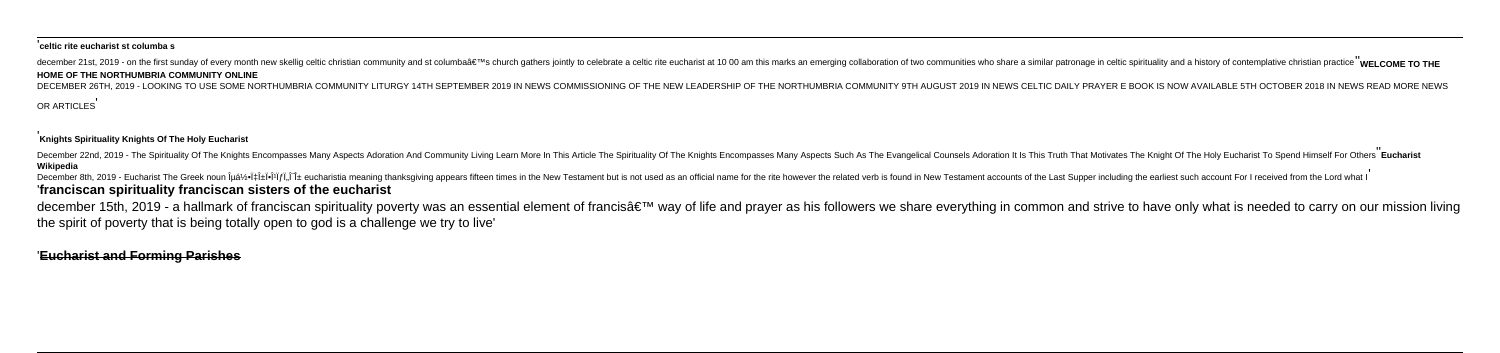### '**celtic rite eucharist st columba s**

december 21st. 2019 - on the first sunday of every month new skellig celtic christian community and st columba's church gathers iointly to celebrate a celtic rite eucharist at 10 00 am this marks an emerging collaborati

DECEMBER 26TH 2019 - LOOKING TO USE SOME NORTHUMBRIA COMMUNITY UTURGY 14TH SEPTEMBER 2019 IN NEWS COMMISSIONING OF THE NEW LEADERSHIP OF THE NORTHUMBRIA COMMUNITY 9TH AUGUST 2019 IN NEWS CELTIC DAILY PRAYER E BOOK IS NOW A OR ARTICLES'

### **HOME OF THE NORTHUMBRIA COMMUNITY ONLINE**

December 22nd, 2019 - The Spirituality Of The Knights Encompasses Many Aspects Adoration And Community Living Leam More In This Article The Spirituality Of The Knights Encompasses Many Aspects Such As The Evangelical Couns **Wikipedia**

## '**Knights Spirituality Knights Of The Holy Eucharist**

december 15th, 2019 - a hallmark of franciscan spirituality poverty was an essential element of francis' way of life and prayer as his followers we share everything in common and strive to have only what is needed to ca the spirit of poverty that is being totally open to god is a challenge we try to live'

December 8th, 2019 - Eucharist The Greek noun εὕχαϕιστία eucharistia meaning thanksgiving appears fifteen times in the New Testament but is not used as an official name for the rite however the related verb is found in New Testament accounts of the Last Supper including the earliest such account For I received from the Lord what I ''**franciscan spirituality franciscan sisters of the eucharist**

'**Eucharist and Forming Parishes**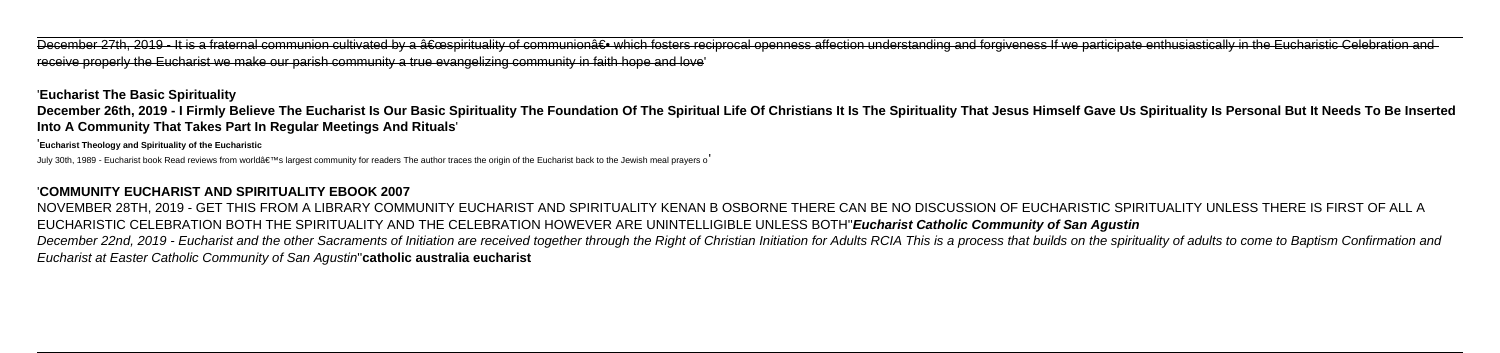December 27th, 2019 - It is a fraternal communion cultivated by a "spirituality of communiona€.• which fosters reciprocal openness affection understanding and forgiveness If we participate enthusiastically in the Euchari receive properly the Eucharist we make our parish community a true evangelizing community in faith hope and love'

December 26th, 2019 - I Firmly Believe The Eucharist Is Our Basic Spirituality The Foundation Of The Spiritual Life Of Christians It Is The Spirituality That Jesus Himself Gave Us Spirituality Is Personal But It Needs To B **Into A Community That Takes Part In Regular Meetings And Rituals**'

'**Eucharist The Basic Spirituality**

'**Eucharist Theology and Spirituality of the Eucharistic**

July 30th, 1989 - Eucharist book Read reviews from world's largest community for readers The author traces the origin of the Eucharist back to the Jewish meal prayers o

## '**COMMUNITY EUCHARIST AND SPIRITUALITY EBOOK 2007**

NOVEMBER 28TH, 2019 - GET THIS FROM A LIBRARY COMMUNITY EUCHARIST AND SPIRITUALITY KENAN B OSBORNE THERE CAN BE NO DISCUSSION OF EUCHARISTIC SPIRITUALITY UNLESS THERE IS FIRST OF ALL A EUCHARISTIC CELEBRATION BOTH THE SPIRITUALITY AND THE CELEBRATION HOWEVER ARE UNINTELLIGIBLE UNLESS BOTH''**Eucharist Catholic Community of San Agustin** December 22nd, 2019 - Eucharist and the other Sacraments of Initiation are received together through the Right of Christian Initiation for Adults RCIA This is a process that builds on the spirituality of adults to come to Eucharist at Easter Catholic Community of San Agustin''**catholic australia eucharist**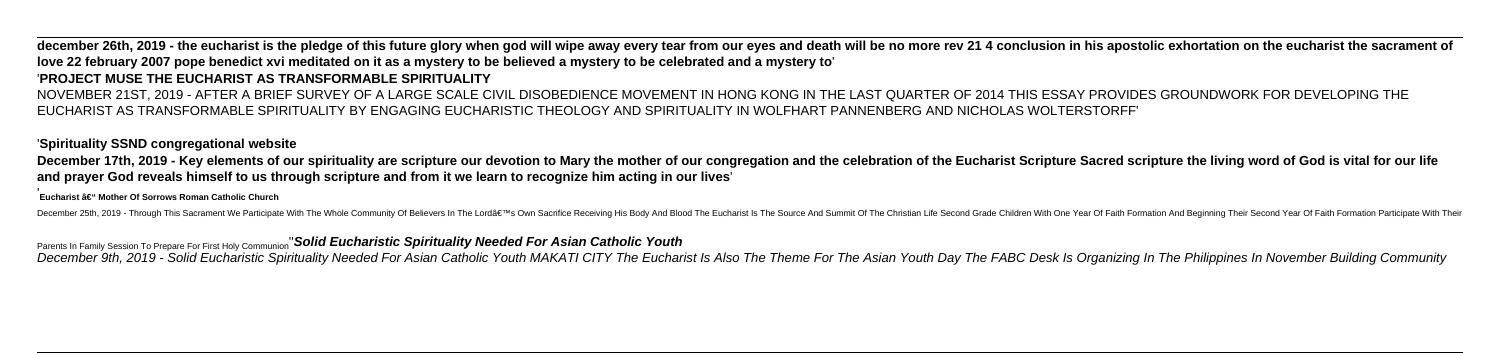# december 26th, 2019 - the eucharist is the pledge of this future glory when god will wipe away every tear from our eyes and death will be no more rev 21 4 conclusion in his apostolic exhortation on the eucharist the sacram **love 22 february 2007 pope benedict xvi meditated on it as a mystery to be believed a mystery to be celebrated and a mystery to**'

# '**PROJECT MUSE THE EUCHARIST AS TRANSFORMABLE SPIRITUALITY**

December 17th, 2019 - Key elements of our spirituality are scripture our devotion to Mary the mother of our congregation and the celebration of the Eucharist Scripture Sacred scripture the living word of God is vital for o **and prayer God reveals himself to us through scripture and from it we learn to recognize him acting in our lives**'

### **Eucharist – Mother Of Sorrows Roman Catholic Church**

December 25th, 2019 - Through This Sacrament We Participate With The Whole Community Of Believers In The Lord's Own Sacrifice Receiving His Body And Blood The Eucharist Is The Source And Summit Of The Christian Life Sec

NOVEMBER 21ST, 2019 - AFTER A BRIEF SURVEY OF A LARGE SCALE CIVIL DISOBEDIENCE MOVEMENT IN HONG KONG IN THE LAST QUARTER OF 2014 THIS ESSAY PROVIDES GROUNDWORK FOR DEVELOPING THE EUCHARIST AS TRANSFORMABLE SPIRITUALITY BY ENGAGING EUCHARISTIC THEOLOGY AND SPIRITUALITY IN WOLFHART PANNENBERG AND NICHOLAS WOLTERSTORFF'

### '**Spirituality SSND congregational website**

Parents In Family Session To Prepare For First Holy Communion''**Solid Eucharistic Spirituality Needed For Asian Catholic Youth**

December 9th, 2019 - Solid Eucharistic Spirituality Needed For Asian Catholic Youth MAKATI CITY The Eucharist Is Also The Theme For The Asian Youth Day The FABC Desk Is Organizing In The Philippines In November Building Co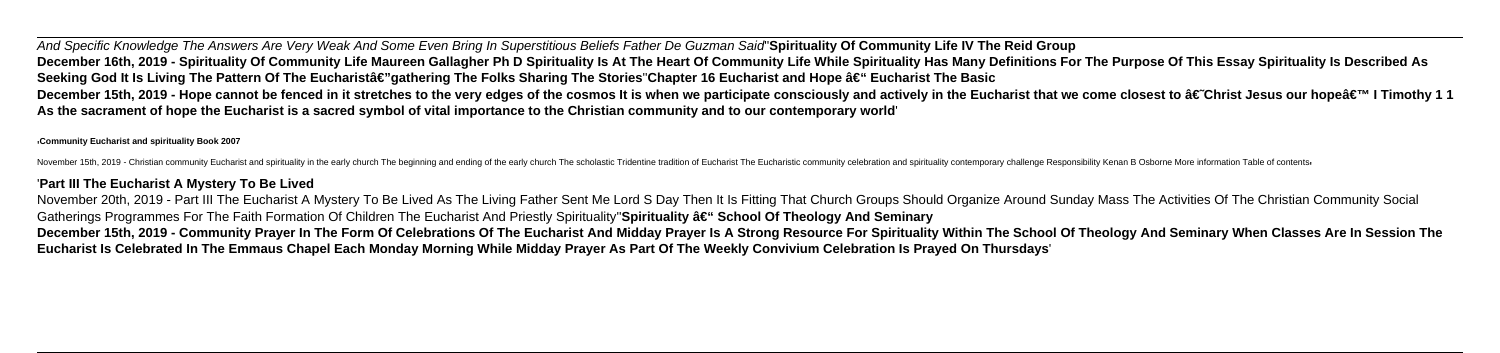And Specific Knowledge The Answers Are Very Weak And Some Even Bring In Superstitious Beliefs Father De Guzman Said''**Spirituality Of Community Life IV The Reid Group** December 16th, 2019 - Spirituality Of Community Life Maureen Gallagher Ph D Spirituality Is At The Heart Of Community Life While Spirituality Has Many Definitions For The Purpose Of This Essay Spirituality Is Described As Seeking God It Is Living The Pattern Of The Eucharistâ€"gathering The Folks Sharing The Stories Chapter 16 Eucharist and Hope â€" Eucharist The Basic December 15th, 2019 - Hope cannot be fenced in it stretches to the very edges of the cosmos It is when we participate consciously and actively in the Eucharist that we come closest to †Christ Jesus our hope' I Timothy **As the sacrament of hope the Eucharist is a sacred symbol of vital importance to the Christian community and to our contemporary world**'

### '**Community Eucharist and spirituality Book 2007**

November 15th, 2019 - Christian community Eucharist and spirituality in the early church The beginning and ending of the early church The scholastic Tridentine tradition of Eucharistic community celebration and spiritualit

November 20th, 2019 - Part III The Eucharist A Mystery To Be Lived As The Living Father Sent Me Lord S Day Then It Is Fitting That Church Groups Should Organize Around Sunday Mass The Activities Of The Christian Community Gatherings Programmes For The Faith Formation Of Children The Eucharist And Priestly Spirituality <sup>"</sup>Spirituality â€" School Of Theology And Seminary **December 15th, 2019 - Community Prayer In The Form Of Celebrations Of The Eucharist And Midday Prayer Is A Strong Resource For Spirituality Within The School Of Theology And Seminary When Classes Are In Session The Eucharist Is Celebrated In The Emmaus Chapel Each Monday Morning While Midday Prayer As Part Of The Weekly Convivium Celebration Is Prayed On Thursdays**'

## '**Part III The Eucharist A Mystery To Be Lived**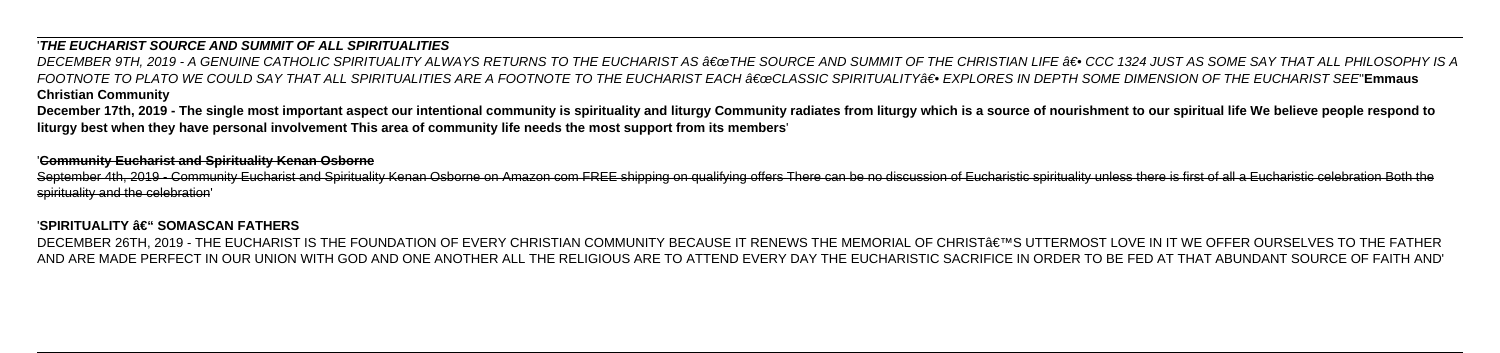# '**THE EUCHARIST SOURCE AND SUMMIT OF ALL SPIRITUALITIES**

DECEMBER 9TH, 2019 - A GENUINE CATHOLIC SPIRITUALITY ALWAYS RETURNS TO THE EUCHARIST AS "THE SOURCE AND SUMMIT OF THE CHRISTIAN LIFE †• CCC 1324 JUST AS SOME SAY THAT ALL PHILOSOPHY IS A FOOTNOTE TO PLATO WE COULD SAY THAT ALL SPIRITUALITIES ARE A FOOTNOTE TO THE EUCHARIST EACH ∂€œCLASSIC SPIRITUALITY∂€● EXPLORES IN DEPTH SOME DIMENSION OF THE EUCHARIST SEE**'Emmaus Christian Community**

December 17th, 2019 - The single most important aspect our intentional community is spirituality and liturgy Community radiates from liturgy which is a source of nourishment to our spiritual life We believe people respond **liturgy best when they have personal involvement This area of community life needs the most support from its members**'

September 4th, 2019 - Community Eucharist and Spirituality Kenan Osborne on Amazon com FREE shipping on qualifying offers There can be no discussion of Eucharistic spirituality unless there is first of all a Eucharistic ce spirituality and the celebration'

### 'SPIRITUALITY – SOMASCAN FATHERS

DECEMBER 26TH, 2019 - THE EUCHARIST IS THE FOUNDATION OF EVERY CHRISTIAN COMMUNITY BECAUSE IT RENEWS THE MEMORIAL OF CHRIST'S UTTERMOST LOVE IN IT WE OFFER OURSELVES TO THE FATHER AND ARE MADE PERFECT IN OUR UNION WITH GOD AND ONE ANOTHER ALL THE RELIGIOUS ARE TO ATTEND EVERY DAY THE EUCHARISTIC SACRIFICE IN ORDER TO BE FED AT THAT ABUNDANT SOURCE OF FAITH AND'

### '**Community Eucharist and Spirituality Kenan Osborne**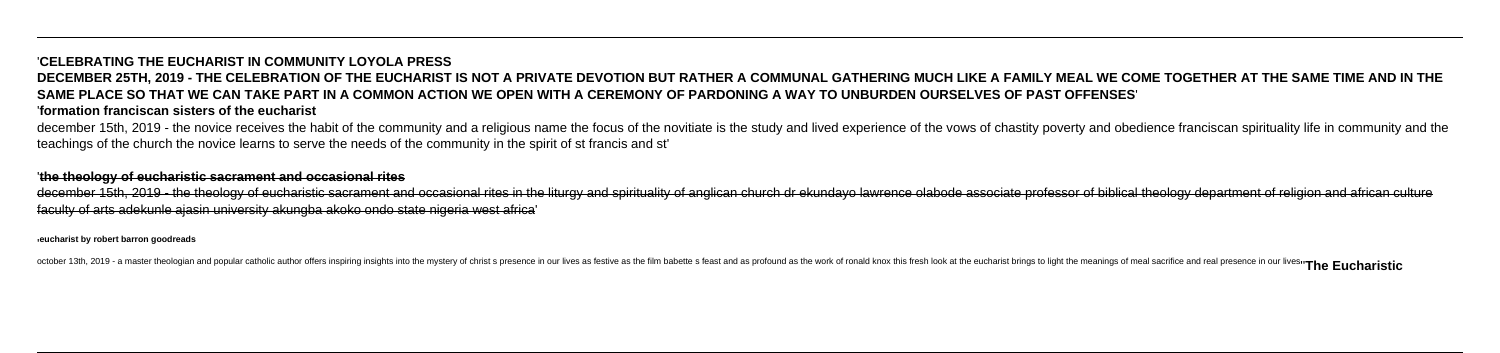# '**CELEBRATING THE EUCHARIST IN COMMUNITY LOYOLA PRESS DECEMBER 25TH, 2019 - THE CELEBRATION OF THE EUCHARIST IS NOT A PRIVATE DEVOTION BUT RATHER A COMMUNAL GATHERING MUCH LIKE A FAMILY MEAL WE COME TOGETHER AT THE SAME TIME AND IN THE SAME PLACE SO THAT WE CAN TAKE PART IN A COMMON ACTION WE OPEN WITH A CEREMONY OF PARDONING A WAY TO UNBURDEN OURSELVES OF PAST OFFENSES**' '**formation franciscan sisters of the eucharist**

december 15th, 2019 - the novice receives the habit of the community and a religious name the focus of the novitiate is the study and lived experience of the vows of chastity poverty and obedience franciscan spirituality l teachings of the church the novice learns to serve the needs of the community in the spirit of st francis and st'

december 15th, 2019 - the theology of eucharistic sacrament and occasional rites in the liturgy and spirituality of anglican church dr ekundayo lawrence olabode associate professor of biblical theology department of religi faculty of arts adekunle ajasin university akungba akoko ondo state nigeria west africa'

### '**the theology of eucharistic sacrament and occasional rites**

'**eucharist by robert barron goodreads**

october 13th, 2019 - a master theologian and popular catholic author offers inspiring insights into the mystery of christ s presence in our lives as festive as the film babette s feast and as profound as the work of ronald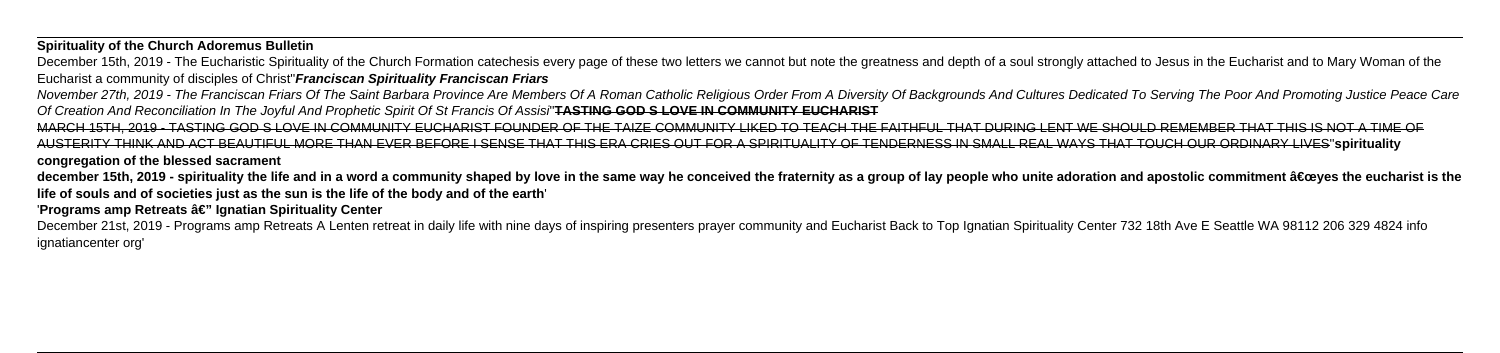**Spirituality of the Church Adoremus Bulletin**

December 15th, 2019 - The Eucharistic Spirituality of the Church Formation catechesis every page of these two letters we cannot but note the greatness and depth of a soul strongly attached to Jesus in the Eucharist and to Eucharist a community of disciples of Christ''**Franciscan Spirituality Franciscan Friars**

November 27th, 2019 - The Franciscan Friars Of The Saint Barbara Province Are Members Of A Roman Catholic Religious Order From A Diversity Of Backgrounds And Cultures Dedicated To Serving The Poor And Promoting Justice Pea Of Creation And Reconciliation In The Joyful And Prophetic Spirit Of St Francis Of Assisi''**TASTING GOD S LOVE IN COMMUNITY EUCHARIST**

december 15th, 2019 - spirituality the life and in a word a community shaped by love in the same way he conceived the fraternity as a group of lay people who unite adoration and apostolic commitment "yes the eucharist i **life of souls and of societies just as the sun is the life of the body and of the earth**'

'Programs amp Retreats â€" Ignatian Spirituality Center

December 21st, 2019 - Programs amp Retreats A Lenten retreat in daily life with nine days of inspiring presenters prayer community and Eucharist Back to Top Ignatian Spirituality Center 732 18th Ave E Seattle WA 98112 206 ignatiancenter org'

MARCH 15TH, 2019 - TASTING GOD S LOVE IN COMMUNITY EUCHARIST FOUNDER OF THE TAIZE COMMUNITY LIKED TO TEACH THE FAITHFUL THAT DURING LENT WE SHOULD REMEMBER THAT THIS IS NOT A TIME OF AUSTERITY THINK AND ACT BEAUTIFUL MORE THAN EVER BEFORE I SENSE THAT THIS ERA CRIES OUT FOR A SPIRITUALITY OF TENDERNESS IN SMALL REAL WAYS THAT TOUCH OUR ORDINARY LIVES''**spirituality congregation of the blessed sacrament**